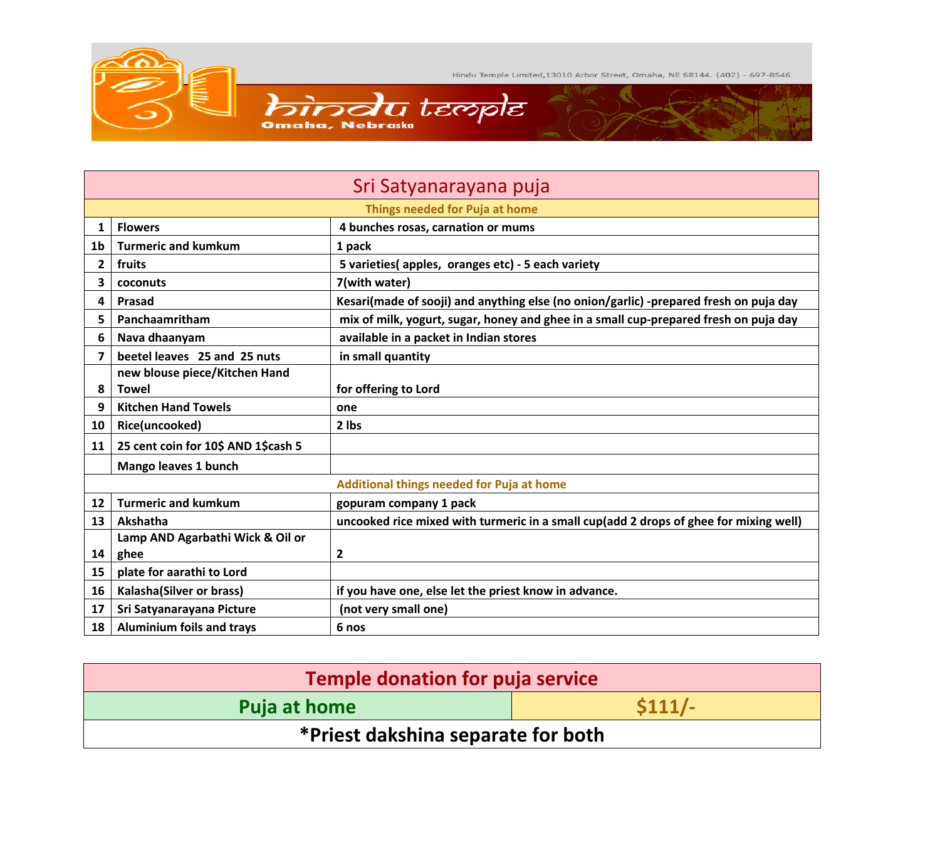

| Sri Satyanarayana puja                    |                                     |                                                                                       |  |
|-------------------------------------------|-------------------------------------|---------------------------------------------------------------------------------------|--|
| Things needed for Puja at home            |                                     |                                                                                       |  |
| 1                                         | <b>Flowers</b>                      | 4 bunches rosas, carnation or mums                                                    |  |
| 1b                                        | <b>Turmeric and kumkum</b>          | 1 pack                                                                                |  |
| $\overline{2}$                            | fruits                              | 5 varieties(apples, oranges etc) - 5 each variety                                     |  |
| 3                                         | coconuts                            | 7(with water)                                                                         |  |
| 4                                         | <b>Prasad</b>                       | Kesari(made of sooji) and anything else (no onion/garlic) -prepared fresh on puja day |  |
| 5                                         | Panchaamritham                      | mix of milk, yogurt, sugar, honey and ghee in a small cup-prepared fresh on puja day  |  |
| 6                                         | Nava dhaanyam                       | available in a packet in Indian stores                                                |  |
| 7                                         | beetel leaves 25 and 25 nuts        | in small quantity                                                                     |  |
|                                           | new blouse piece/Kitchen Hand       |                                                                                       |  |
| 8                                         | <b>Towel</b>                        | for offering to Lord                                                                  |  |
| 9                                         | <b>Kitchen Hand Towels</b>          | one                                                                                   |  |
| 10                                        | Rice(uncooked)                      | 2 lbs                                                                                 |  |
| 11                                        | 25 cent coin for 10\$ AND 1\$cash 5 |                                                                                       |  |
|                                           | Mango leaves 1 bunch                |                                                                                       |  |
| Additional things needed for Puja at home |                                     |                                                                                       |  |
| 12 <sup>2</sup>                           | <b>Turmeric and kumkum</b>          | gopuram company 1 pack                                                                |  |
| 13                                        | Akshatha                            | uncooked rice mixed with turmeric in a small cup(add 2 drops of ghee for mixing well) |  |
|                                           | Lamp AND Agarbathi Wick & Oil or    |                                                                                       |  |
| 14                                        | ghee                                | $\overline{\mathbf{c}}$                                                               |  |
| 15                                        | plate for aarathi to Lord           |                                                                                       |  |
| 16                                        | Kalasha(Silver or brass)            | if you have one, else let the priest know in advance.                                 |  |
| 17                                        | Sri Satyanarayana Picture           | (not very small one)                                                                  |  |
| 18                                        | <b>Aluminium foils and trays</b>    | 6 nos                                                                                 |  |

| <b>Temple donation for puja service</b> |                 |  |  |
|-----------------------------------------|-----------------|--|--|
| Puja at home                            | $\frac{1}{111}$ |  |  |
| *Priest dakshina separate for both      |                 |  |  |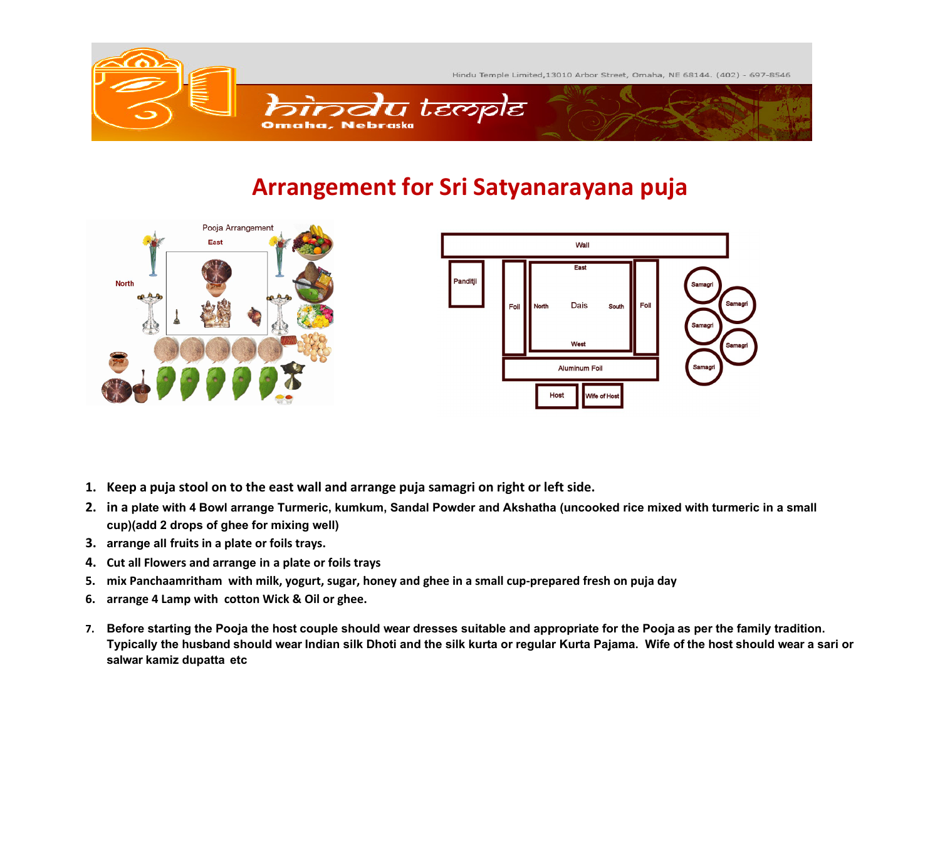

## **Arrangement for Sri Satyanarayana puja**





- **1. Keep a puja stool on to the east wall and arrange puja samagri on right or left side.**
- **2. in a plate with 4 Bowl arrange Turmeric, kumkum, Sandal Powder and Akshatha (uncooked rice mixed with turmeric in a small cup)(add 2 drops of ghee for mixing well)**
- **3. arrange all fruits in a plate or foils trays.**
- **4. Cut all Flowers and arrange in a plate or foils trays**
- **5. mix Panchaamritham with milk, yogurt, sugar, honey and ghee in a small cup-prepared fresh on puja day**
- **6. arrange 4 Lamp with cotton Wick & Oil or ghee.**
- **7. Before starting the Pooja the host couple should wear dresses suitable and appropriate for the Pooja as per the family tradition. Typically the husband should wear Indian silk Dhoti and the silk kurta or regular Kurta Pajama. Wife of the host should wear a sari or salwar kamiz dupatta etc**